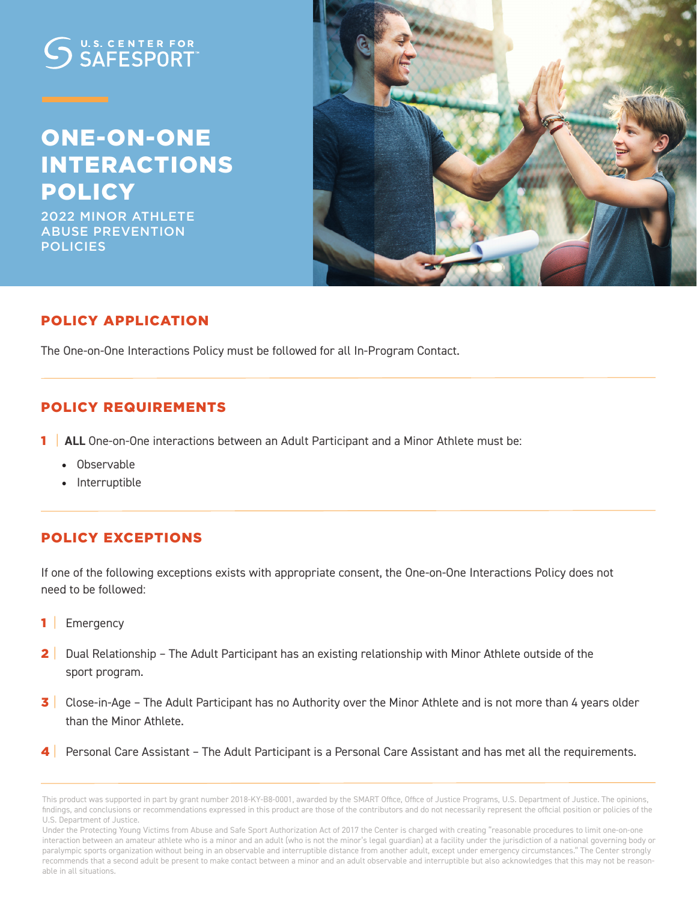# U.S. CENTER FOR

# ONE-ON-ONE INTERACTIONS POLICY

2022 MINOR ATHLETE ABUSE PREVENTION **POLICIES** 



## POLICY APPLICATION

The One-on-One Interactions Policy must be followed for all In-Program Contact.

#### POLICY REQUIREMENTS

- **1** ALL One-on-One interactions between an Adult Participant and a Minor Athlete must be:
	- Observable
	- Interruptible

## POLICY EXCEPTIONS

If one of the following exceptions exists with appropriate consent, the One-on-One Interactions Policy does not need to be followed:

- 1 | Emergency
- 2 | Dual Relationship The Adult Participant has an existing relationship with Minor Athlete outside of the sport program.
- 3 Close-in-Age The Adult Participant has no Authority over the Minor Athlete and is not more than 4 years older than the Minor Athlete.
- Personal Care Assistant The Adult Participant is a Personal Care Assistant and has met all the requirements.

This product was supported in part by grant number 2018-KY-B8-0001, awarded by the SMART Office, Office of Justice Programs, U.S. Department of Justice. The opinions, findings, and conclusions or recommendations expressed in this product are those of the contributors and do not necessarily represent the official position or policies of the U.S. Department of Justice.

Under the Protecting Young Victims from Abuse and Safe Sport Authorization Act of 2017 the Center is charged with creating "reasonable procedures to limit one-on-one interaction between an amateur athlete who is a minor and an adult (who is not the minor's legal guardian) at a facility under the jurisdiction of a national governing body or paralympic sports organization without being in an observable and interruptible distance from another adult, except under emergency circumstances." The Center strongly recommends that a second adult be present to make contact between a minor and an adult observable and interruptible but also acknowledges that this may not be reasonable in all situations.